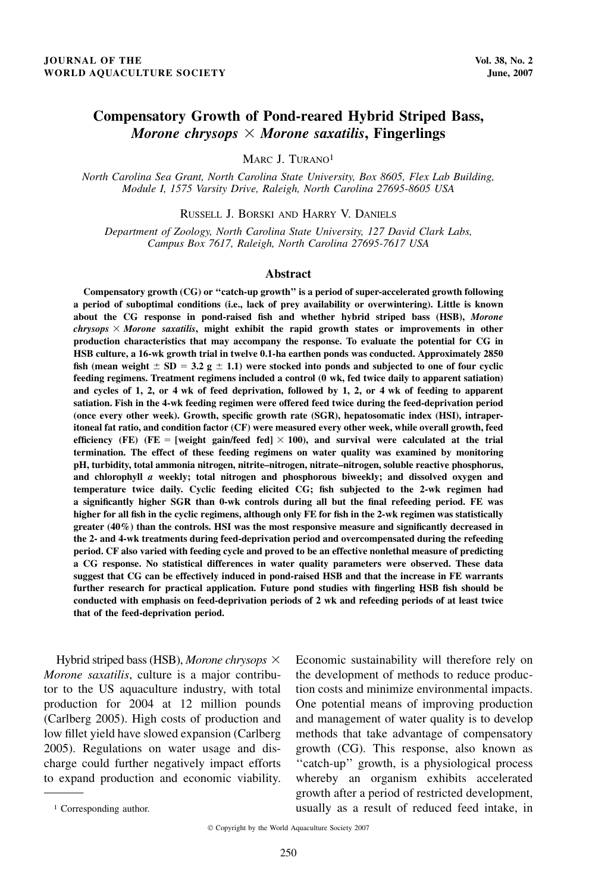# Compensatory Growth of Pond-reared Hybrid Striped Bass, Morone chrysops  $\times$  Morone saxatilis, Fingerlings

MARC J. TURANO1

North Carolina Sea Grant, North Carolina State University, Box 8605, Flex Lab Building, Module I, 1575 Varsity Drive, Raleigh, North Carolina 27695-8605 USA

RUSSELL J. BORSKI AND HARRY V. DANIELS

Department of Zoology, North Carolina State University, 127 David Clark Labs, Campus Box 7617, Raleigh, North Carolina 27695-7617 USA

#### Abstract

Compensatory growth (CG) or ''catch-up growth'' is a period of super-accelerated growth following a period of suboptimal conditions (i.e., lack of prey availability or overwintering). Little is known about the CG response in pond-raised fish and whether hybrid striped bass (HSB), Morone  $chrysops \times Morone$  saxatilis, might exhibit the rapid growth states or improvements in other production characteristics that may accompany the response. To evaluate the potential for CG in HSB culture, a 16-wk growth trial in twelve 0.1-ha earthen ponds was conducted. Approximately 2850 fish (mean weight  $\pm$  SD = 3.2 g  $\pm$  1.1) were stocked into ponds and subjected to one of four cyclic feeding regimens. Treatment regimens included a control (0 wk, fed twice daily to apparent satiation) and cycles of 1, 2, or 4 wk of feed deprivation, followed by 1, 2, or 4 wk of feeding to apparent satiation. Fish in the 4-wk feeding regimen were offered feed twice during the feed-deprivation period (once every other week). Growth, specific growth rate (SGR), hepatosomatic index (HSI), intraperitoneal fat ratio, and condition factor (CF) were measured every other week, while overall growth, feed efficiency (FE) (FE = [weight gain/feed fed]  $\times$  100), and survival were calculated at the trial termination. The effect of these feeding regimens on water quality was examined by monitoring pH, turbidity, total ammonia nitrogen, nitrite–nitrogen, nitrate–nitrogen, soluble reactive phosphorus, and chlorophyll a weekly; total nitrogen and phosphorous biweekly; and dissolved oxygen and temperature twice daily. Cyclic feeding elicited CG; fish subjected to the 2-wk regimen had a significantly higher SGR than 0-wk controls during all but the final refeeding period. FE was higher for all fish in the cyclic regimens, although only FE for fish in the 2-wk regimen was statistically greater (40%) than the controls. HSI was the most responsive measure and significantly decreased in the 2- and 4-wk treatments during feed-deprivation period and overcompensated during the refeeding period. CF also varied with feeding cycle and proved to be an effective nonlethal measure of predicting a CG response. No statistical differences in water quality parameters were observed. These data suggest that CG can be effectively induced in pond-raised HSB and that the increase in FE warrants further research for practical application. Future pond studies with fingerling HSB fish should be conducted with emphasis on feed-deprivation periods of 2 wk and refeeding periods of at least twice that of the feed-deprivation period.

Hybrid striped bass (HSB), Morone chrysops  $\times$ Morone saxatilis, culture is a major contributor to the US aquaculture industry, with total production for 2004 at 12 million pounds (Carlberg 2005). High costs of production and low fillet yield have slowed expansion (Carlberg 2005). Regulations on water usage and discharge could further negatively impact efforts to expand production and economic viability.

Economic sustainability will therefore rely on the development of methods to reduce production costs and minimize environmental impacts. One potential means of improving production and management of water quality is to develop methods that take advantage of compensatory growth (CG). This response, also known as "catch-up" growth, is a physiological process whereby an organism exhibits accelerated growth after a period of restricted development, <sup>1</sup> Corresponding author. usually as a result of reduced feed intake, in

Copyright by the World Aquaculture Society 2007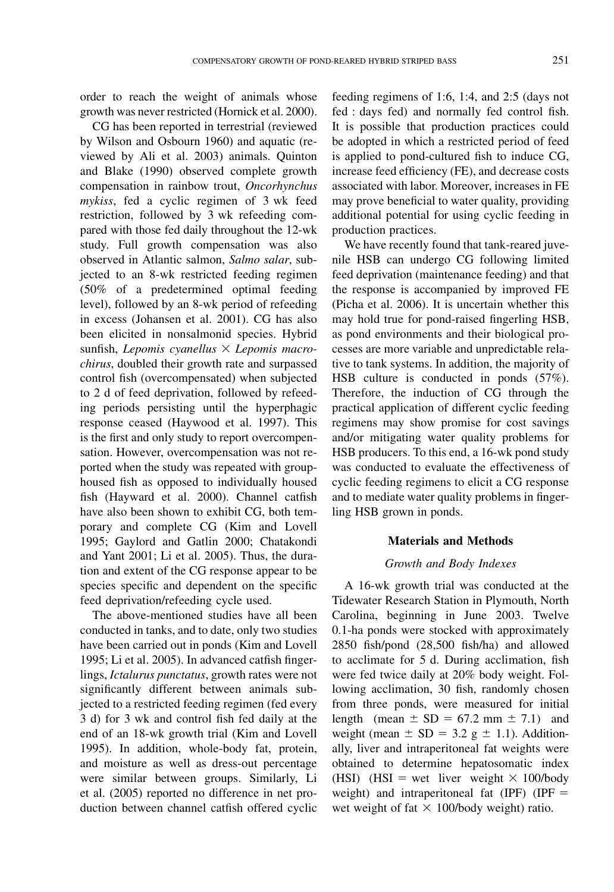order to reach the weight of animals whose growth was never restricted (Hornick et al. 2000).

CG has been reported in terrestrial (reviewed by Wilson and Osbourn 1960) and aquatic (reviewed by Ali et al. 2003) animals. Quinton and Blake (1990) observed complete growth compensation in rainbow trout, Oncorhynchus mykiss, fed a cyclic regimen of 3 wk feed restriction, followed by 3 wk refeeding compared with those fed daily throughout the 12-wk study. Full growth compensation was also observed in Atlantic salmon, Salmo salar, subjected to an 8-wk restricted feeding regimen (50% of a predetermined optimal feeding level), followed by an 8-wk period of refeeding in excess (Johansen et al. 2001). CG has also been elicited in nonsalmonid species. Hybrid sunfish, Lepomis cyanellus  $\times$  Lepomis macrochirus, doubled their growth rate and surpassed control fish (overcompensated) when subjected to 2 d of feed deprivation, followed by refeeding periods persisting until the hyperphagic response ceased (Haywood et al. 1997). This is the first and only study to report overcompensation. However, overcompensation was not reported when the study was repeated with grouphoused fish as opposed to individually housed fish (Hayward et al. 2000). Channel catfish have also been shown to exhibit CG, both temporary and complete CG (Kim and Lovell 1995; Gaylord and Gatlin 2000; Chatakondi and Yant 2001; Li et al. 2005). Thus, the duration and extent of the CG response appear to be species specific and dependent on the specific feed deprivation/refeeding cycle used.

The above-mentioned studies have all been conducted in tanks, and to date, only two studies have been carried out in ponds (Kim and Lovell 1995; Li et al. 2005). In advanced catfish fingerlings, Ictalurus punctatus, growth rates were not significantly different between animals subjected to a restricted feeding regimen (fed every 3 d) for 3 wk and control fish fed daily at the end of an 18-wk growth trial (Kim and Lovell 1995). In addition, whole-body fat, protein, and moisture as well as dress-out percentage were similar between groups. Similarly, Li et al. (2005) reported no difference in net production between channel catfish offered cyclic

feeding regimens of 1:6, 1:4, and 2:5 (days not fed : days fed) and normally fed control fish. It is possible that production practices could be adopted in which a restricted period of feed is applied to pond-cultured fish to induce CG, increase feed efficiency (FE), and decrease costs associated with labor. Moreover, increases in FE may prove beneficial to water quality, providing additional potential for using cyclic feeding in production practices.

We have recently found that tank-reared juvenile HSB can undergo CG following limited feed deprivation (maintenance feeding) and that the response is accompanied by improved FE (Picha et al. 2006). It is uncertain whether this may hold true for pond-raised fingerling HSB, as pond environments and their biological processes are more variable and unpredictable relative to tank systems. In addition, the majority of HSB culture is conducted in ponds (57%). Therefore, the induction of CG through the practical application of different cyclic feeding regimens may show promise for cost savings and/or mitigating water quality problems for HSB producers. To this end, a 16-wk pond study was conducted to evaluate the effectiveness of cyclic feeding regimens to elicit a CG response and to mediate water quality problems in fingerling HSB grown in ponds.

## Materials and Methods

#### Growth and Body Indexes

A 16-wk growth trial was conducted at the Tidewater Research Station in Plymouth, North Carolina, beginning in June 2003. Twelve 0.1-ha ponds were stocked with approximately 2850 fish/pond (28,500 fish/ha) and allowed to acclimate for 5 d. During acclimation, fish were fed twice daily at 20% body weight. Following acclimation, 30 fish, randomly chosen from three ponds, were measured for initial length (mean  $\pm$  SD = 67.2 mm  $\pm$  7.1) and weight (mean  $\pm$  SD = 3.2 g  $\pm$  1.1). Additionally, liver and intraperitoneal fat weights were obtained to determine hepatosomatic index (HSI) (HSI = wet liver weight  $\times$  100/body weight) and intraperitoneal fat (IPF) (IPF  $=$ wet weight of fat  $\times$  100/body weight) ratio.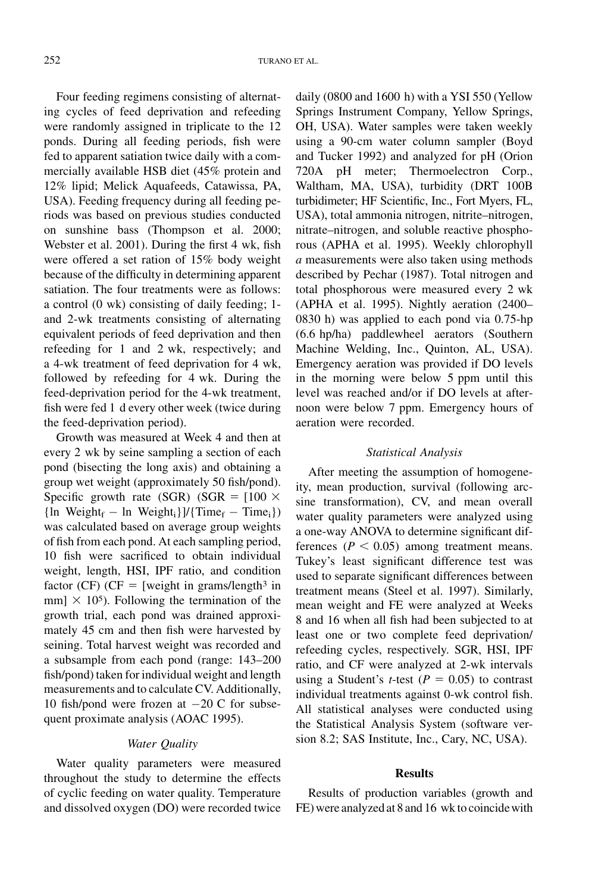Four feeding regimens consisting of alternating cycles of feed deprivation and refeeding were randomly assigned in triplicate to the 12 ponds. During all feeding periods, fish were fed to apparent satiation twice daily with a commercially available HSB diet (45% protein and 12% lipid; Melick Aquafeeds, Catawissa, PA, USA). Feeding frequency during all feeding periods was based on previous studies conducted on sunshine bass (Thompson et al. 2000; Webster et al. 2001). During the first 4 wk, fish were offered a set ration of 15% body weight because of the difficulty in determining apparent satiation. The four treatments were as follows: a control (0 wk) consisting of daily feeding; 1 and 2-wk treatments consisting of alternating equivalent periods of feed deprivation and then refeeding for 1 and 2 wk, respectively; and a 4-wk treatment of feed deprivation for 4 wk, followed by refeeding for 4 wk. During the feed-deprivation period for the 4-wk treatment, fish were fed 1 d every other week (twice during the feed-deprivation period).

Growth was measured at Week 4 and then at every 2 wk by seine sampling a section of each pond (bisecting the long axis) and obtaining a group wet weight (approximately 50 fish/pond). Specific growth rate (SGR) (SGR =  $[100 \times$  $\{ \ln \text{Weight}_{f} - \ln \text{Weight}_{i} \}$ / $\{ \text{Time}_{f} - \text{Time}_{i} \}$ ) was calculated based on average group weights of fish from each pond. At each sampling period, 10 fish were sacrificed to obtain individual weight, length, HSI, IPF ratio, and condition factor (CF) (CF = [weight in grams/length<sup>3</sup> in mm]  $\times$  105). Following the termination of the growth trial, each pond was drained approximately 45 cm and then fish were harvested by seining. Total harvest weight was recorded and a subsample from each pond (range: 143–200 fish/pond) taken for individual weight and length measurements and to calculate CV. Additionally, 10 fish/pond were frozen at  $-20$  C for subsequent proximate analysis (AOAC 1995).

# Water Quality

Water quality parameters were measured throughout the study to determine the effects of cyclic feeding on water quality. Temperature and dissolved oxygen (DO) were recorded twice daily (0800 and 1600 h) with a YSI 550 (Yellow Springs Instrument Company, Yellow Springs, OH, USA). Water samples were taken weekly using a 90-cm water column sampler (Boyd and Tucker 1992) and analyzed for pH (Orion 720A pH meter; Thermoelectron Corp., Waltham, MA, USA), turbidity (DRT 100B turbidimeter; HF Scientific, Inc., Fort Myers, FL, USA), total ammonia nitrogen, nitrite–nitrogen, nitrate–nitrogen, and soluble reactive phosphorous (APHA et al. 1995). Weekly chlorophyll a measurements were also taken using methods described by Pechar (1987). Total nitrogen and total phosphorous were measured every 2 wk (APHA et al. 1995). Nightly aeration (2400– 0830 h) was applied to each pond via 0.75-hp (6.6 hp/ha) paddlewheel aerators (Southern Machine Welding, Inc., Quinton, AL, USA). Emergency aeration was provided if DO levels in the morning were below 5 ppm until this level was reached and/or if DO levels at afternoon were below 7 ppm. Emergency hours of aeration were recorded.

# Statistical Analysis

After meeting the assumption of homogeneity, mean production, survival (following arcsine transformation), CV, and mean overall water quality parameters were analyzed using a one-way ANOVA to determine significant differences ( $P < 0.05$ ) among treatment means. Tukey's least significant difference test was used to separate significant differences between treatment means (Steel et al. 1997). Similarly, mean weight and FE were analyzed at Weeks 8 and 16 when all fish had been subjected to at least one or two complete feed deprivation/ refeeding cycles, respectively. SGR, HSI, IPF ratio, and CF were analyzed at 2-wk intervals using a Student's *t*-test ( $P = 0.05$ ) to contrast individual treatments against 0-wk control fish. All statistical analyses were conducted using the Statistical Analysis System (software version 8.2; SAS Institute, Inc., Cary, NC, USA).

#### Results

Results of production variables (growth and FE) were analyzed at 8 and 16 wk to coincide with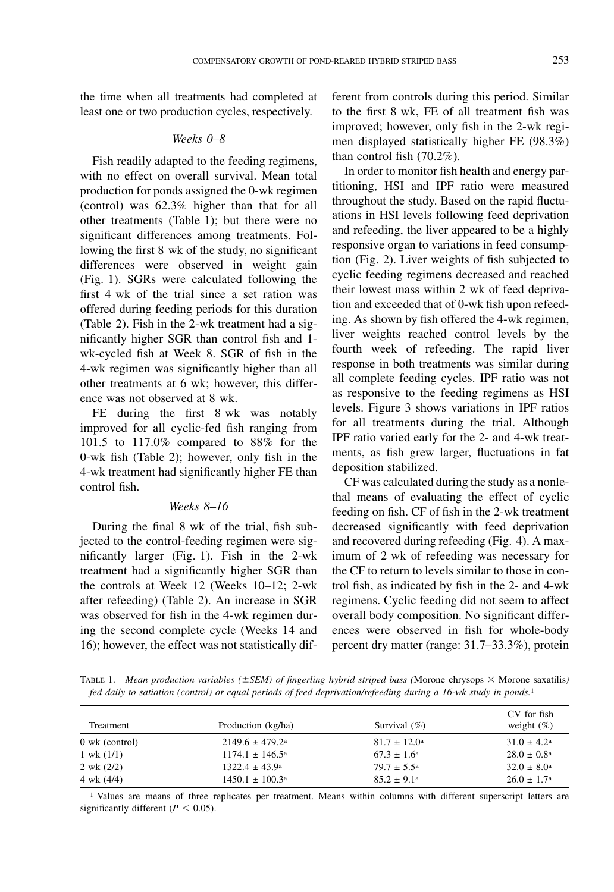the time when all treatments had completed at least one or two production cycles, respectively.

#### Weeks 0–8

Fish readily adapted to the feeding regimens, with no effect on overall survival. Mean total production for ponds assigned the 0-wk regimen (control) was 62.3% higher than that for all other treatments (Table 1); but there were no significant differences among treatments. Following the first 8 wk of the study, no significant differences were observed in weight gain (Fig. 1). SGRs were calculated following the first 4 wk of the trial since a set ration was offered during feeding periods for this duration (Table 2). Fish in the 2-wk treatment had a significantly higher SGR than control fish and 1 wk-cycled fish at Week 8. SGR of fish in the 4-wk regimen was significantly higher than all other treatments at 6 wk; however, this difference was not observed at 8 wk.

FE during the first 8 wk was notably improved for all cyclic-fed fish ranging from 101.5 to 117.0% compared to 88% for the 0-wk fish (Table 2); however, only fish in the 4-wk treatment had significantly higher FE than control fish.

#### Weeks 8–16

During the final 8 wk of the trial, fish subjected to the control-feeding regimen were significantly larger (Fig. 1). Fish in the 2-wk treatment had a significantly higher SGR than the controls at Week 12 (Weeks 10–12; 2-wk after refeeding) (Table 2). An increase in SGR was observed for fish in the 4-wk regimen during the second complete cycle (Weeks 14 and 16); however, the effect was not statistically different from controls during this period. Similar to the first 8 wk, FE of all treatment fish was improved; however, only fish in the 2-wk regimen displayed statistically higher FE (98.3%) than control fish (70.2%).

In order to monitor fish health and energy partitioning, HSI and IPF ratio were measured throughout the study. Based on the rapid fluctuations in HSI levels following feed deprivation and refeeding, the liver appeared to be a highly responsive organ to variations in feed consumption (Fig. 2). Liver weights of fish subjected to cyclic feeding regimens decreased and reached their lowest mass within 2 wk of feed deprivation and exceeded that of 0-wk fish upon refeeding. As shown by fish offered the 4-wk regimen, liver weights reached control levels by the fourth week of refeeding. The rapid liver response in both treatments was similar during all complete feeding cycles. IPF ratio was not as responsive to the feeding regimens as HSI levels. Figure 3 shows variations in IPF ratios for all treatments during the trial. Although IPF ratio varied early for the 2- and 4-wk treatments, as fish grew larger, fluctuations in fat deposition stabilized.

CF was calculated during the study as a nonlethal means of evaluating the effect of cyclic feeding on fish. CF of fish in the 2-wk treatment decreased significantly with feed deprivation and recovered during refeeding (Fig. 4). A maximum of 2 wk of refeeding was necessary for the CF to return to levels similar to those in control fish, as indicated by fish in the 2- and 4-wk regimens. Cyclic feeding did not seem to affect overall body composition. No significant differences were observed in fish for whole-body percent dry matter (range: 31.7–33.3%), protein

TABLE 1. Mean production variables ( $\pm$ SEM) of fingerling hybrid striped bass (Morone chrysops  $\times$  Morone saxatilis) fed daily to satiation (control) or equal periods of feed deprivation/refeeding during a 16-wk study in ponds.1

| Treatment             | Production (kg/ha)            | Survival $(\% )$        | CV for fish<br>weight $(\% )$ |
|-----------------------|-------------------------------|-------------------------|-------------------------------|
| $0$ wk (control)      | $2149.6 \pm 479.2^{\circ}$    | $81.7 \pm 12.0^{\circ}$ | $31.0 \pm 4.2^{\circ}$        |
| $1 \text{ wk } (1/1)$ | $1174.1 \pm 146.5^{\circ}$    | $67.3 \pm 1.6^{\circ}$  | $28.0 \pm 0.8^{\circ}$        |
| $2 \text{ wk} (2/2)$  | $1322.4 \pm 43.9^{\circ}$     | $79.7 \pm 5.5^{\rm a}$  | $32.0 \pm 8.0^{\circ}$        |
| 4 wk (4/4)            | $1450.1 \pm 100.3^{\text{a}}$ | $85.2 \pm 9.1^{\circ}$  | $26.0 \pm 1.7^{\rm a}$        |

1 Values are means of three replicates per treatment. Means within columns with different superscript letters are significantly different ( $P < 0.05$ ).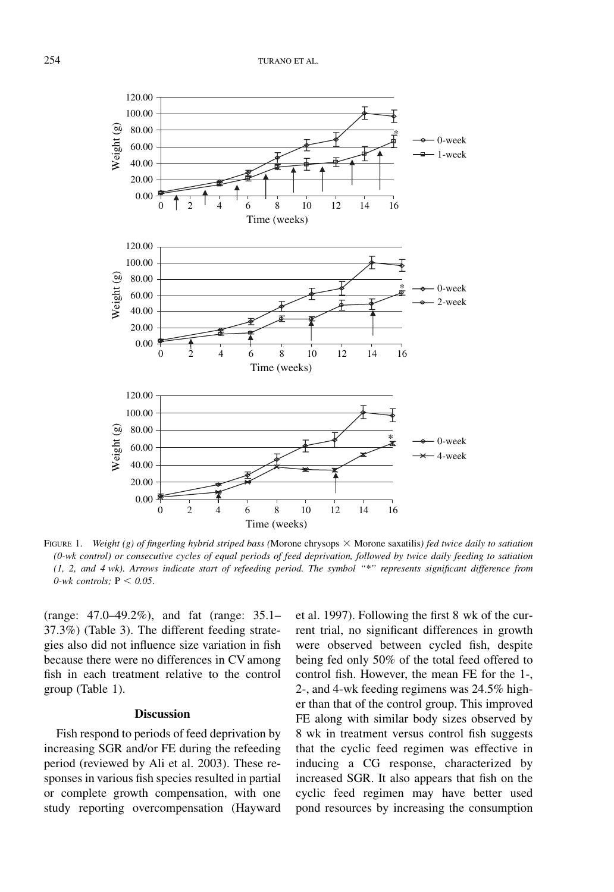

FIGURE 1. Weight (g) of fingerling hybrid striped bass (Morone chrysops  $\times$  Morone saxatilis) fed twice daily to satiation (0-wk control) or consecutive cycles of equal periods of feed deprivation, followed by twice daily feeding to satiation (1, 2, and 4 wk). Arrows indicate start of refeeding period. The symbol ''\*'' represents significant difference from 0-wk controls;  $P < 0.05$ .

(range: 47.0–49.2%), and fat (range: 35.1– 37.3%) (Table 3). The different feeding strategies also did not influence size variation in fish because there were no differences in CV among fish in each treatment relative to the control group (Table 1).

#### **Discussion**

Fish respond to periods of feed deprivation by increasing SGR and/or FE during the refeeding period (reviewed by Ali et al. 2003). These responses in various fish species resulted in partial or complete growth compensation, with one study reporting overcompensation (Hayward et al. 1997). Following the first 8 wk of the current trial, no significant differences in growth were observed between cycled fish, despite being fed only 50% of the total feed offered to control fish. However, the mean FE for the 1-, 2-, and 4-wk feeding regimens was 24.5% higher than that of the control group. This improved FE along with similar body sizes observed by 8 wk in treatment versus control fish suggests that the cyclic feed regimen was effective in inducing a CG response, characterized by increased SGR. It also appears that fish on the cyclic feed regimen may have better used pond resources by increasing the consumption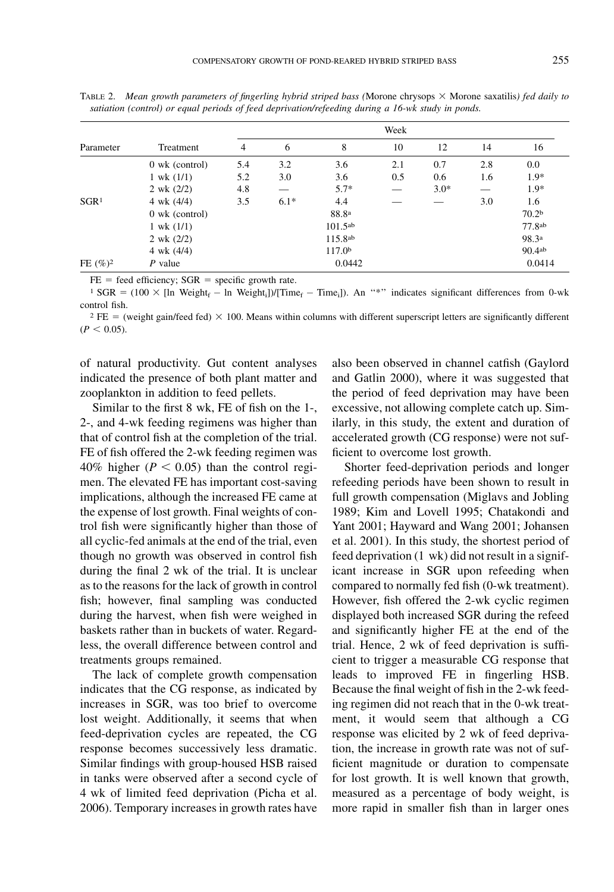|                  |                       | Week |        |                     |     |        |     |                   |
|------------------|-----------------------|------|--------|---------------------|-----|--------|-----|-------------------|
| Parameter        | Treatment             | 4    | 6      | 8                   | 10  | 12     | 14  | 16                |
|                  | $0$ wk (control)      | 5.4  | 3.2    | 3.6                 | 2.1 | 0.7    | 2.8 | 0.0               |
|                  | $1 \text{ wk } (1/1)$ | 5.2  | 3.0    | 3.6                 | 0.5 | 0.6    | 1.6 | $1.9*$            |
|                  | $2 \text{ wk} (2/2)$  | 4.8  |        | $5.7*$              |     | $3.0*$ |     | $1.9*$            |
| SGR <sup>1</sup> | 4 wk $(4/4)$          | 3.5  | $6.1*$ | 4.4                 |     |        | 3.0 | 1.6               |
|                  | $0$ wk (control)      |      |        | 88.8ª               |     |        |     | 70.2 <sup>b</sup> |
|                  | $1 \text{ wk } (1/1)$ |      |        | 101.5a <sub>b</sub> |     |        |     | 77.8ab            |
|                  | 2 wk (2/2)            |      |        | 115.8a <sub>b</sub> |     |        |     | 98.3a             |
|                  | 4 wk $(4/4)$          |      |        | 117.0 <sup>b</sup>  |     |        |     | 90.4ab            |
| FE $(\%)^2$      | $P$ value             |      |        | 0.0442              |     |        |     | 0.0414            |

TABLE 2. Mean growth parameters of fingerling hybrid striped bass (Morone chrysops  $\times$  Morone saxatilis) fed daily to satiation (control) or equal periods of feed deprivation/refeeding during a 16-wk study in ponds.

 $FE = feed efficiency$ ;  $SGR = specific growth rate$ .

<sup>1</sup> SGR = (100 × [ln Weight<sub>f</sub> – ln Weight<sub>i</sub>])/[Time<sub>f</sub> – Time<sub>i</sub>]). An "\*" indicates significant differences from 0-wk control fish.

 $2 FE =$  (weight gain/feed fed)  $\times$  100. Means within columns with different superscript letters are significantly different  $(P < 0.05)$ .

of natural productivity. Gut content analyses indicated the presence of both plant matter and zooplankton in addition to feed pellets.

Similar to the first 8 wk, FE of fish on the 1-, 2-, and 4-wk feeding regimens was higher than that of control fish at the completion of the trial. FE of fish offered the 2-wk feeding regimen was 40% higher ( $P < 0.05$ ) than the control regimen. The elevated FE has important cost-saving implications, although the increased FE came at the expense of lost growth. Final weights of control fish were significantly higher than those of all cyclic-fed animals at the end of the trial, even though no growth was observed in control fish during the final 2 wk of the trial. It is unclear as to the reasons for the lack of growth in control fish; however, final sampling was conducted during the harvest, when fish were weighed in baskets rather than in buckets of water. Regardless, the overall difference between control and treatments groups remained.

The lack of complete growth compensation indicates that the CG response, as indicated by increases in SGR, was too brief to overcome lost weight. Additionally, it seems that when feed-deprivation cycles are repeated, the CG response becomes successively less dramatic. Similar findings with group-housed HSB raised in tanks were observed after a second cycle of 4 wk of limited feed deprivation (Picha et al. 2006). Temporary increases in growth rates have

also been observed in channel catfish (Gaylord and Gatlin 2000), where it was suggested that the period of feed deprivation may have been excessive, not allowing complete catch up. Similarly, in this study, the extent and duration of accelerated growth (CG response) were not sufficient to overcome lost growth.

Shorter feed-deprivation periods and longer refeeding periods have been shown to result in full growth compensation (Miglavs and Jobling 1989; Kim and Lovell 1995; Chatakondi and Yant 2001; Hayward and Wang 2001; Johansen et al. 2001). In this study, the shortest period of feed deprivation (1 wk) did not result in a significant increase in SGR upon refeeding when compared to normally fed fish (0-wk treatment). However, fish offered the 2-wk cyclic regimen displayed both increased SGR during the refeed and significantly higher FE at the end of the trial. Hence, 2 wk of feed deprivation is sufficient to trigger a measurable CG response that leads to improved FE in fingerling HSB. Because the final weight of fish in the 2-wk feeding regimen did not reach that in the 0-wk treatment, it would seem that although a CG response was elicited by 2 wk of feed deprivation, the increase in growth rate was not of sufficient magnitude or duration to compensate for lost growth. It is well known that growth, measured as a percentage of body weight, is more rapid in smaller fish than in larger ones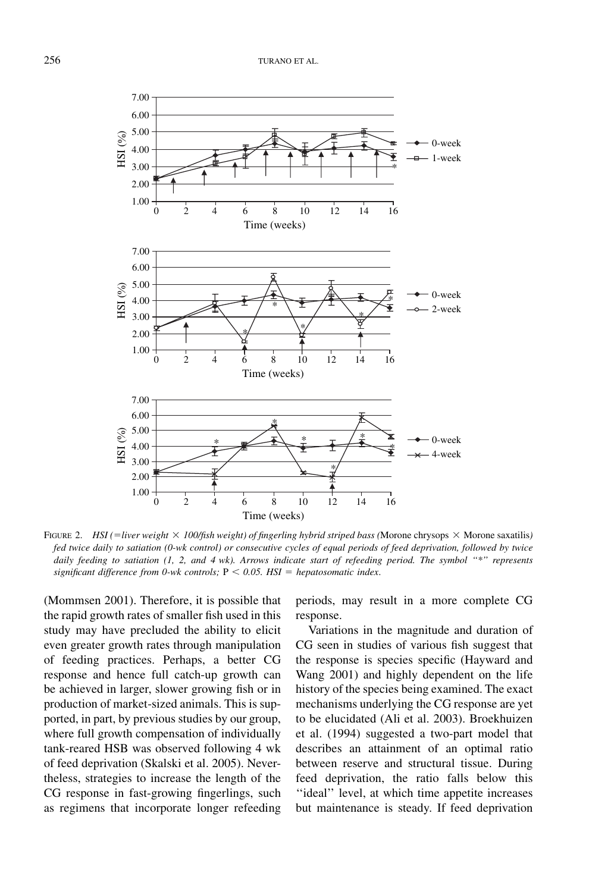

FIGURE 2. HSI (=liver weight  $\times$  100/fish weight) of fingerling hybrid striped bass (Morone chrysops  $\times$  Morone saxatilis) fed twice daily to satiation (0-wk control) or consecutive cycles of equal periods of feed deprivation, followed by twice daily feeding to satiation (1, 2, and 4 wk). Arrows indicate start of refeeding period. The symbol "\*" represents significant difference from 0-wk controls;  $P < 0.05$ . HSI = hepatosomatic index.

(Mommsen 2001). Therefore, it is possible that the rapid growth rates of smaller fish used in this study may have precluded the ability to elicit even greater growth rates through manipulation of feeding practices. Perhaps, a better CG response and hence full catch-up growth can be achieved in larger, slower growing fish or in production of market-sized animals. This is supported, in part, by previous studies by our group, where full growth compensation of individually tank-reared HSB was observed following 4 wk of feed deprivation (Skalski et al. 2005). Nevertheless, strategies to increase the length of the CG response in fast-growing fingerlings, such as regimens that incorporate longer refeeding

periods, may result in a more complete CG response.

Variations in the magnitude and duration of CG seen in studies of various fish suggest that the response is species specific (Hayward and Wang 2001) and highly dependent on the life history of the species being examined. The exact mechanisms underlying the CG response are yet to be elucidated (Ali et al. 2003). Broekhuizen et al. (1994) suggested a two-part model that describes an attainment of an optimal ratio between reserve and structural tissue. During feed deprivation, the ratio falls below this "ideal" level, at which time appetite increases but maintenance is steady. If feed deprivation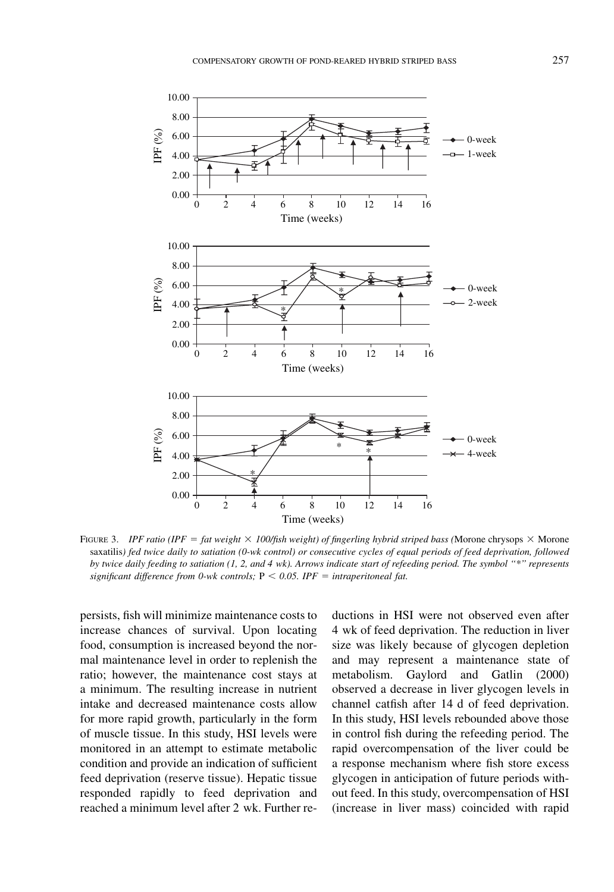

FIGURE 3. IPF ratio (IPF = fat weight  $\times$  100/fish weight) of fingerling hybrid striped bass (Morone chrysops  $\times$  Morone saxatilis) fed twice daily to satiation (0-wk control) or consecutive cycles of equal periods of feed deprivation, followed by twice daily feeding to satiation (1, 2, and 4 wk). Arrows indicate start of refeeding period. The symbol ''\*'' represents significant difference from 0-wk controls;  $P \le 0.05$ . IPF = intraperitoneal fat.

persists, fish will minimize maintenance costs to increase chances of survival. Upon locating food, consumption is increased beyond the normal maintenance level in order to replenish the ratio; however, the maintenance cost stays at a minimum. The resulting increase in nutrient intake and decreased maintenance costs allow for more rapid growth, particularly in the form of muscle tissue. In this study, HSI levels were monitored in an attempt to estimate metabolic condition and provide an indication of sufficient feed deprivation (reserve tissue). Hepatic tissue responded rapidly to feed deprivation and reached a minimum level after 2 wk. Further reductions in HSI were not observed even after 4 wk of feed deprivation. The reduction in liver size was likely because of glycogen depletion and may represent a maintenance state of metabolism. Gaylord and Gatlin (2000) observed a decrease in liver glycogen levels in channel catfish after 14 d of feed deprivation. In this study, HSI levels rebounded above those in control fish during the refeeding period. The rapid overcompensation of the liver could be a response mechanism where fish store excess glycogen in anticipation of future periods without feed. In this study, overcompensation of HSI (increase in liver mass) coincided with rapid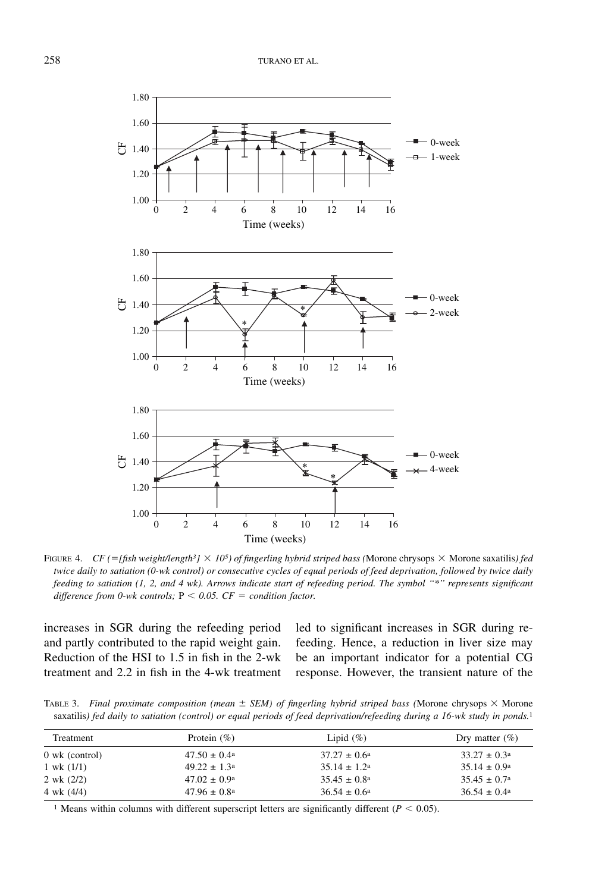

FIGURE 4. CF (= [fish weight/length<sup>3</sup>]  $\times$  10<sup>5</sup>) of fingerling hybrid striped bass (Morone chrysops  $\times$  Morone saxatilis) fed twice daily to satiation (0-wk control) or consecutive cycles of equal periods of feed deprivation, followed by twice daily feeding to satiation (1, 2, and 4 wk). Arrows indicate start of refeeding period. The symbol ''\*'' represents significant difference from 0-wk controls;  $P < 0.05$ .  $CF =$  condition factor.

increases in SGR during the refeeding period and partly contributed to the rapid weight gain. Reduction of the HSI to 1.5 in fish in the 2-wk treatment and 2.2 in fish in the 4-wk treatment led to significant increases in SGR during refeeding. Hence, a reduction in liver size may be an important indicator for a potential CG response. However, the transient nature of the

TABLE 3. Final proximate composition (mean  $\pm$  SEM) of fingerling hybrid striped bass (Morone chrysops  $\times$  Morone saxatilis) fed daily to satiation (control) or equal periods of feed deprivation/refeeding during a 16-wk study in ponds.<sup>1</sup>

| Treatment            | Protein $(\% )$         | Lipid $(\%)$            | Dry matter $(\%)$       |
|----------------------|-------------------------|-------------------------|-------------------------|
| $0$ wk (control)     | $47.50 \pm 0.4^{\circ}$ | $37.27 \pm 0.6^{\circ}$ | $33.27 \pm 0.3^{\circ}$ |
| $1$ wk $(1/1)$       | $49.22 \pm 1.3^{\circ}$ | $35.14 \pm 1.2^{\circ}$ | $35.14 \pm 0.9^{\circ}$ |
| $2 \text{ wk} (2/2)$ | $47.02 \pm 0.9^{\circ}$ | $35.45 \pm 0.8^{\circ}$ | $35.45 \pm 0.7^{\circ}$ |
| 4 wk (4/4)           | $47.96 \pm 0.8^{\circ}$ | $36.54 \pm 0.6^{\circ}$ | $36.54 \pm 0.4^{\circ}$ |

<sup>1</sup> Means within columns with different superscript letters are significantly different ( $P < 0.05$ ).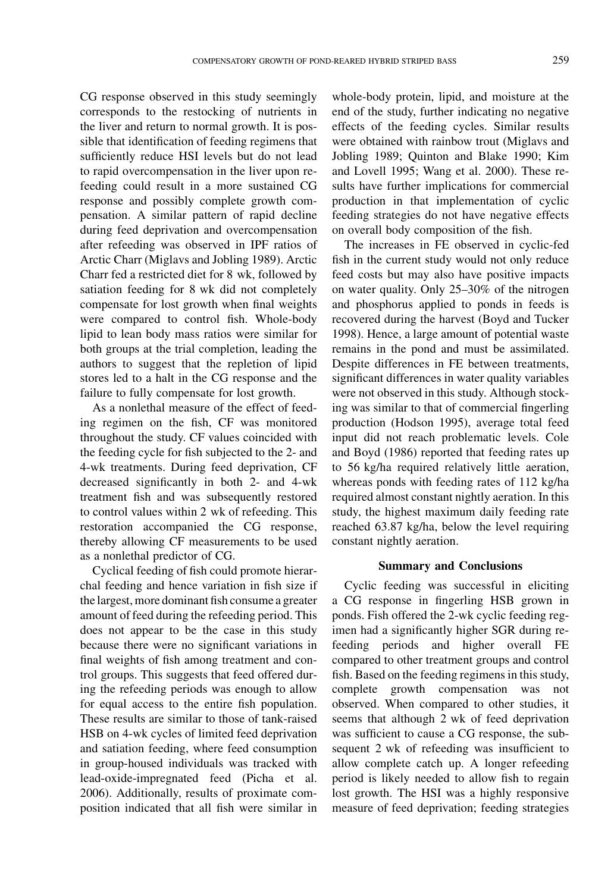CG response observed in this study seemingly corresponds to the restocking of nutrients in the liver and return to normal growth. It is possible that identification of feeding regimens that sufficiently reduce HSI levels but do not lead to rapid overcompensation in the liver upon refeeding could result in a more sustained CG response and possibly complete growth compensation. A similar pattern of rapid decline during feed deprivation and overcompensation after refeeding was observed in IPF ratios of Arctic Charr (Miglavs and Jobling 1989). Arctic Charr fed a restricted diet for 8 wk, followed by satiation feeding for 8 wk did not completely compensate for lost growth when final weights were compared to control fish. Whole-body lipid to lean body mass ratios were similar for both groups at the trial completion, leading the authors to suggest that the repletion of lipid stores led to a halt in the CG response and the failure to fully compensate for lost growth.

As a nonlethal measure of the effect of feeding regimen on the fish, CF was monitored throughout the study. CF values coincided with the feeding cycle for fish subjected to the 2- and 4-wk treatments. During feed deprivation, CF decreased significantly in both 2- and 4-wk treatment fish and was subsequently restored to control values within 2 wk of refeeding. This restoration accompanied the CG response, thereby allowing CF measurements to be used as a nonlethal predictor of CG.

Cyclical feeding of fish could promote hierarchal feeding and hence variation in fish size if the largest, more dominant fish consume a greater amount of feed during the refeeding period. This does not appear to be the case in this study because there were no significant variations in final weights of fish among treatment and control groups. This suggests that feed offered during the refeeding periods was enough to allow for equal access to the entire fish population. These results are similar to those of tank-raised HSB on 4-wk cycles of limited feed deprivation and satiation feeding, where feed consumption in group-housed individuals was tracked with lead-oxide-impregnated feed (Picha et al. 2006). Additionally, results of proximate composition indicated that all fish were similar in

whole-body protein, lipid, and moisture at the end of the study, further indicating no negative effects of the feeding cycles. Similar results were obtained with rainbow trout (Miglavs and Jobling 1989; Quinton and Blake 1990; Kim and Lovell 1995; Wang et al. 2000). These results have further implications for commercial production in that implementation of cyclic feeding strategies do not have negative effects on overall body composition of the fish.

The increases in FE observed in cyclic-fed fish in the current study would not only reduce feed costs but may also have positive impacts on water quality. Only 25–30% of the nitrogen and phosphorus applied to ponds in feeds is recovered during the harvest (Boyd and Tucker 1998). Hence, a large amount of potential waste remains in the pond and must be assimilated. Despite differences in FE between treatments, significant differences in water quality variables were not observed in this study. Although stocking was similar to that of commercial fingerling production (Hodson 1995), average total feed input did not reach problematic levels. Cole and Boyd (1986) reported that feeding rates up to 56 kg/ha required relatively little aeration, whereas ponds with feeding rates of 112 kg/ha required almost constant nightly aeration. In this study, the highest maximum daily feeding rate reached 63.87 kg/ha, below the level requiring constant nightly aeration.

### Summary and Conclusions

Cyclic feeding was successful in eliciting a CG response in fingerling HSB grown in ponds. Fish offered the 2-wk cyclic feeding regimen had a significantly higher SGR during refeeding periods and higher overall FE compared to other treatment groups and control fish. Based on the feeding regimens in this study, complete growth compensation was not observed. When compared to other studies, it seems that although 2 wk of feed deprivation was sufficient to cause a CG response, the subsequent 2 wk of refeeding was insufficient to allow complete catch up. A longer refeeding period is likely needed to allow fish to regain lost growth. The HSI was a highly responsive measure of feed deprivation; feeding strategies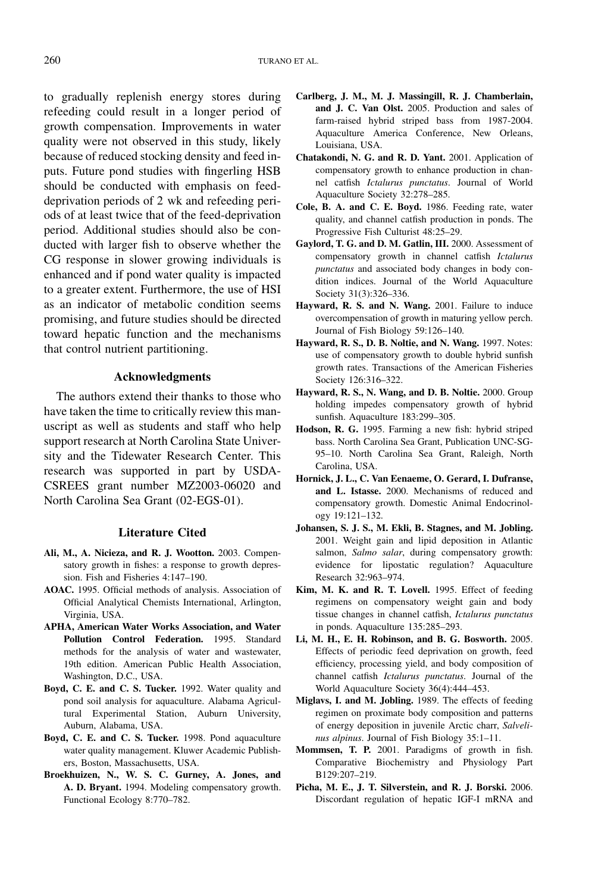to gradually replenish energy stores during refeeding could result in a longer period of growth compensation. Improvements in water quality were not observed in this study, likely because of reduced stocking density and feed inputs. Future pond studies with fingerling HSB should be conducted with emphasis on feeddeprivation periods of 2 wk and refeeding periods of at least twice that of the feed-deprivation period. Additional studies should also be conducted with larger fish to observe whether the CG response in slower growing individuals is enhanced and if pond water quality is impacted to a greater extent. Furthermore, the use of HSI as an indicator of metabolic condition seems promising, and future studies should be directed toward hepatic function and the mechanisms that control nutrient partitioning.

### Acknowledgments

The authors extend their thanks to those who have taken the time to critically review this manuscript as well as students and staff who help support research at North Carolina State University and the Tidewater Research Center. This research was supported in part by USDA-CSREES grant number MZ2003-06020 and North Carolina Sea Grant (02-EGS-01).

#### Literature Cited

- Ali, M., A. Nicieza, and R. J. Wootton. 2003. Compensatory growth in fishes: a response to growth depression. Fish and Fisheries 4:147–190.
- AOAC. 1995. Official methods of analysis. Association of Official Analytical Chemists International, Arlington, Virginia, USA.
- APHA, American Water Works Association, and Water Pollution Control Federation. 1995. Standard methods for the analysis of water and wastewater, 19th edition. American Public Health Association, Washington, D.C., USA.
- Boyd, C. E. and C. S. Tucker. 1992. Water quality and pond soil analysis for aquaculture. Alabama Agricultural Experimental Station, Auburn University, Auburn, Alabama, USA.
- Boyd, C. E. and C. S. Tucker. 1998. Pond aquaculture water quality management. Kluwer Academic Publishers, Boston, Massachusetts, USA.
- Broekhuizen, N., W. S. C. Gurney, A. Jones, and A. D. Bryant. 1994. Modeling compensatory growth. Functional Ecology 8:770–782.
- Carlberg, J. M., M. J. Massingill, R. J. Chamberlain, and J. C. Van Olst. 2005. Production and sales of farm-raised hybrid striped bass from 1987-2004. Aquaculture America Conference, New Orleans, Louisiana, USA.
- Chatakondi, N. G. and R. D. Yant. 2001. Application of compensatory growth to enhance production in channel catfish Ictalurus punctatus. Journal of World Aquaculture Society 32:278–285.
- Cole, B. A. and C. E. Boyd. 1986. Feeding rate, water quality, and channel catfish production in ponds. The Progressive Fish Culturist 48:25–29.
- Gaylord, T. G. and D. M. Gatlin, III. 2000. Assessment of compensatory growth in channel catfish Ictalurus punctatus and associated body changes in body condition indices. Journal of the World Aquaculture Society 31(3):326–336.
- Hayward, R. S. and N. Wang. 2001. Failure to induce overcompensation of growth in maturing yellow perch. Journal of Fish Biology 59:126–140.
- Hayward, R. S., D. B. Noltie, and N. Wang. 1997. Notes: use of compensatory growth to double hybrid sunfish growth rates. Transactions of the American Fisheries Society 126:316–322.
- Hayward, R. S., N. Wang, and D. B. Noltie. 2000. Group holding impedes compensatory growth of hybrid sunfish. Aquaculture 183:299–305.
- Hodson, R. G. 1995. Farming a new fish: hybrid striped bass. North Carolina Sea Grant, Publication UNC-SG-95–10. North Carolina Sea Grant, Raleigh, North Carolina, USA.
- Hornick, J. L., C. Van Eenaeme, O. Gerard, I. Dufranse, and L. Istasse. 2000. Mechanisms of reduced and compensatory growth. Domestic Animal Endocrinology 19:121–132.
- Johansen, S. J. S., M. Ekli, B. Stagnes, and M. Jobling. 2001. Weight gain and lipid deposition in Atlantic salmon, Salmo salar, during compensatory growth: evidence for lipostatic regulation? Aquaculture Research 32:963–974.
- Kim, M. K. and R. T. Lovell. 1995. Effect of feeding regimens on compensatory weight gain and body tissue changes in channel catfish, Ictalurus punctatus in ponds. Aquaculture 135:285–293.
- Li, M. H., E. H. Robinson, and B. G. Bosworth. 2005. Effects of periodic feed deprivation on growth, feed efficiency, processing yield, and body composition of channel catfish Ictalurus punctatus. Journal of the World Aquaculture Society 36(4):444–453.
- Miglavs, I. and M. Jobling. 1989. The effects of feeding regimen on proximate body composition and patterns of energy deposition in juvenile Arctic charr, Salvelinus alpinus. Journal of Fish Biology 35:1–11.
- Mommsen, T. P. 2001. Paradigms of growth in fish. Comparative Biochemistry and Physiology Part B129:207–219.
- Picha, M. E., J. T. Silverstein, and R. J. Borski. 2006. Discordant regulation of hepatic IGF-I mRNA and